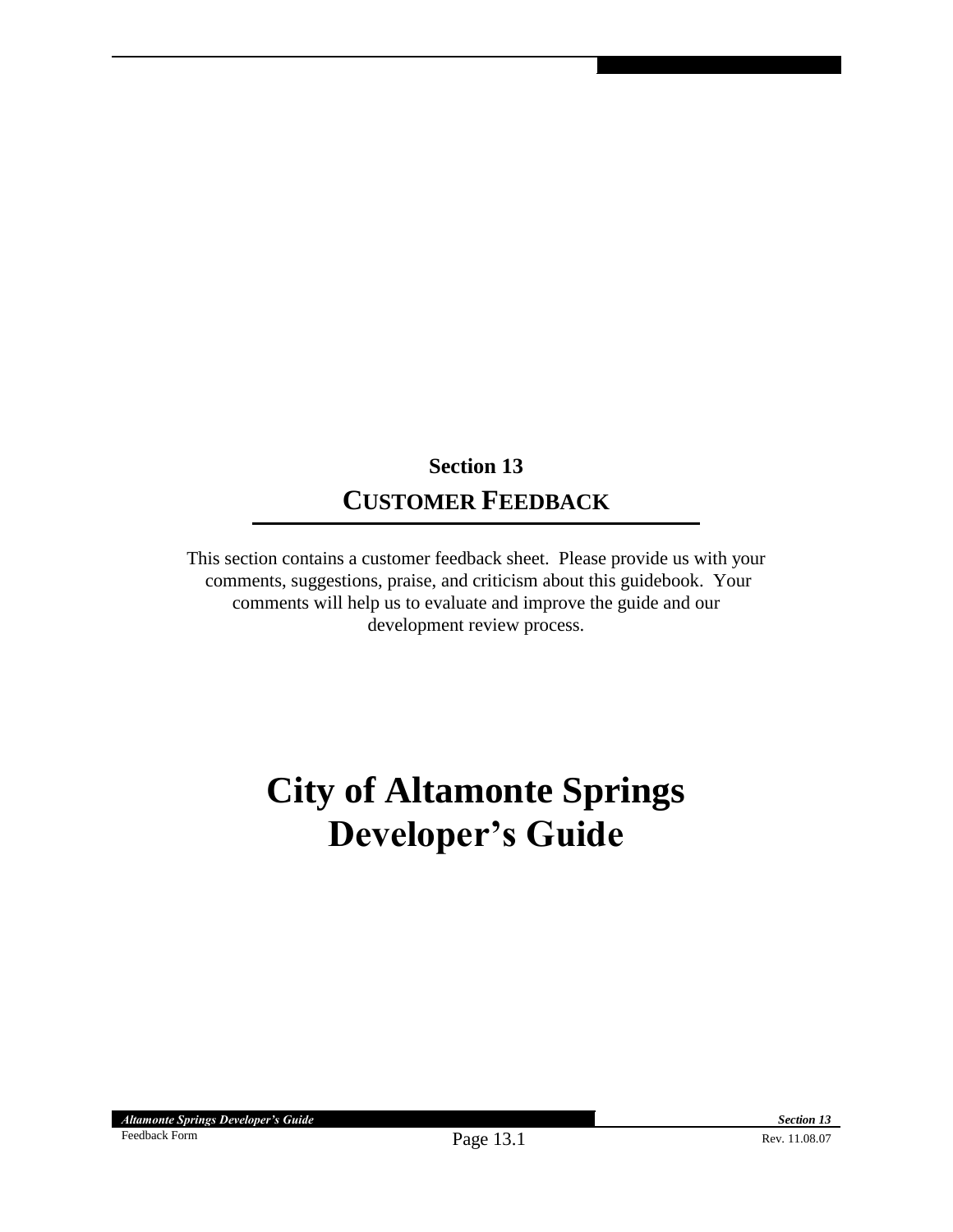## **Section 13 CUSTOMER FEEDBACK**

This section contains a customer feedback sheet. Please provide us with your comments, suggestions, praise, and criticism about this guidebook. Your comments will help us to evaluate and improve the guide and our development review process.

## **City of Altamonte Springs Developer's Guide**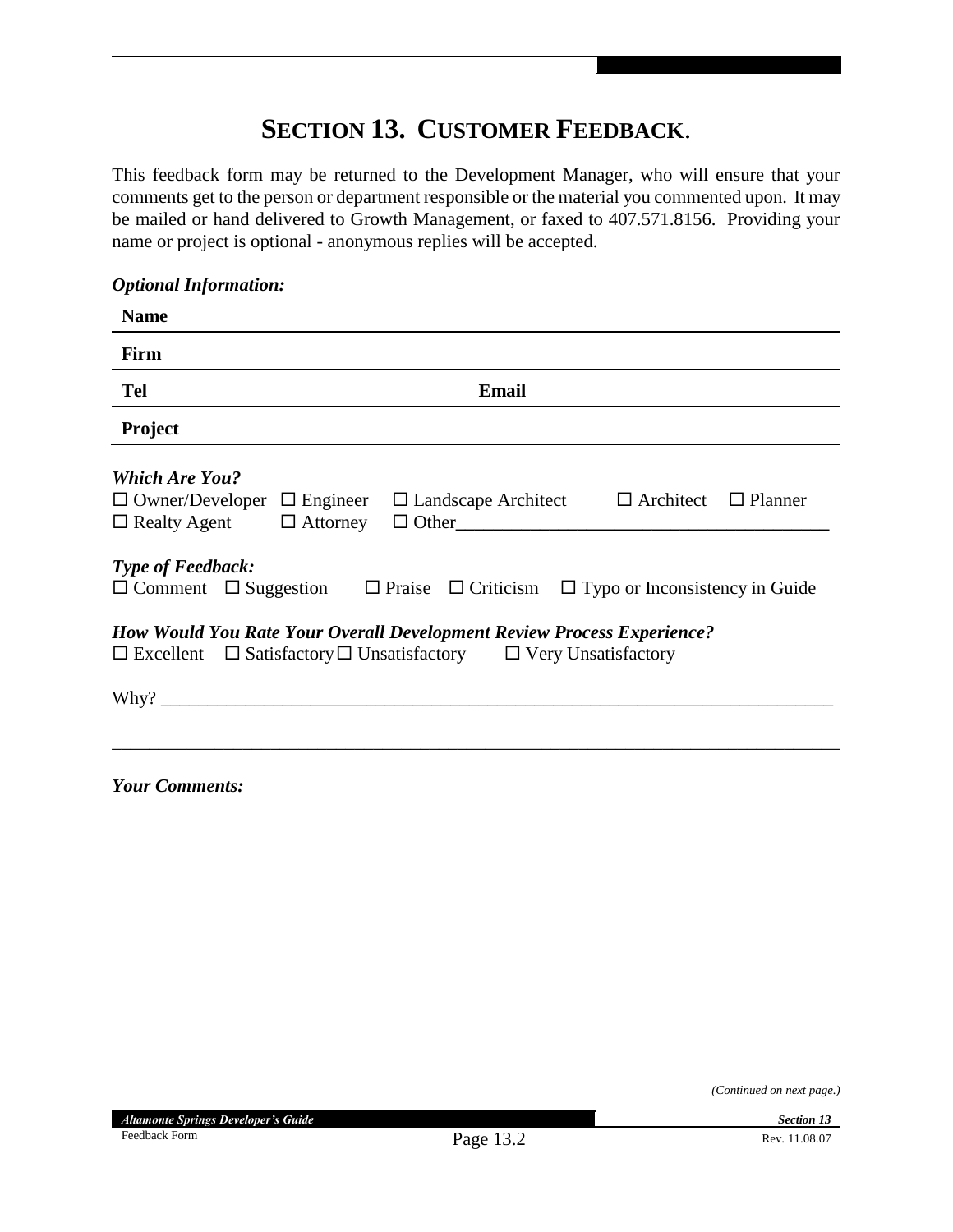## **SECTION 13. CUSTOMER FEEDBACK**.

This feedback form may be returned to the Development Manager, who will ensure that your comments get to the person or department responsible or the material you commented upon. It may be mailed or hand delivered to Growth Management, or faxed to 407.571.8156. Providing your name or project is optional - anonymous replies will be accepted.

## *Optional Information:*

| <b>Name</b>                                                                                                                                                                                |
|--------------------------------------------------------------------------------------------------------------------------------------------------------------------------------------------|
| Firm                                                                                                                                                                                       |
| <b>Tel</b><br>Email                                                                                                                                                                        |
| Project                                                                                                                                                                                    |
| <b>Which Are You?</b><br>$\Box$ Owner/Developer<br>$\Box$ Engineer $\Box$ Landscape Architect<br>$\Box$ Architect $\Box$ Planner<br>$\Box$ Realty Agent<br>$\Box$ Attorney<br>$\Box$ Other |
| <b>Type of Feedback:</b><br>$\Box$ Comment $\Box$ Suggestion<br>$\Box$ Praise $\Box$ Criticism $\Box$ Typo or Inconsistency in Guide                                                       |
| <b>How Would You Rate Your Overall Development Review Process Experience?</b><br>$\Box$ Excellent $\Box$ Satisfactory $\Box$ Unsatisfactory $\Box$ Very Unsatisfactory                     |
|                                                                                                                                                                                            |

*Your Comments:*

*(Continued on next page.)*